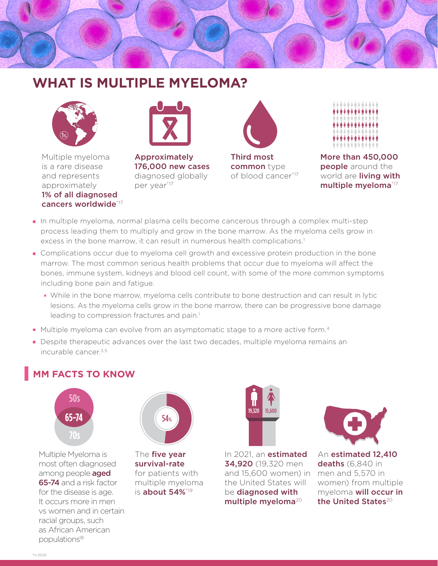## **WHAT IS MULTIPLE MYELOMA?**



Multiple myeloma is a rare disease and represents approximately 1% of all diagnosed cancers worldwide\*17



Approximately 176,000 new cases diagnosed globally per year<sup>\*17</sup>



Third most common type of blood cancer\*17



More than 450,000 **people** around the world are **living with** multiple myeloma\*17

- In multiple myeloma, normal plasma cells become cancerous through a complex multi-step process leading them to multiply and grow in the bone marrow. As the myeloma cells grow in excess in the bone marrow, it can result in numerous health complications.<sup>1</sup>
- Complications occur due to myeloma cell growth and excessive protein production in the bone marrow. The most common serious health problems that occur due to myeloma will affect the bones, immune system, kidneys and blood cell count, with some of the more common symptoms including bone pain and fatigue.
	- While in the bone marrow, myeloma cells contribute to bone destruction and can result in lytic lesions. As the myeloma cells grow in the bone marrow, there can be progressive bone damage leading to compression fractures and pain.<sup>1</sup>
- Multiple myeloma can evolve from an asymptomatic stage to a more active form.<sup>4</sup>
- **Despite therapeutic advances over the last two decades, multiple myeloma remains an**  $incuralhe cancer<sup>3,5</sup>$

## **MM FACTS TO KNOW**



Multiple Myeloma is most often diagnosed among people **aged** 65-74 and a risk factor for the disease is age. It occurs more in men vs women and in certain racial groups, such as African American populations<sup>18</sup>



The **five year** survival-rate for patients with multiple myeloma is **about 54%**\*19



In 2021, an **estimated** 34,920 (19,320 men and 15,600 women) in the United States will be diagnosed with multiple myeloma<sup>20</sup>



An estimated 12,410 deaths (6,840 in men and 5,570 in women) from multiple myeloma will occur in the United States<sup>20</sup>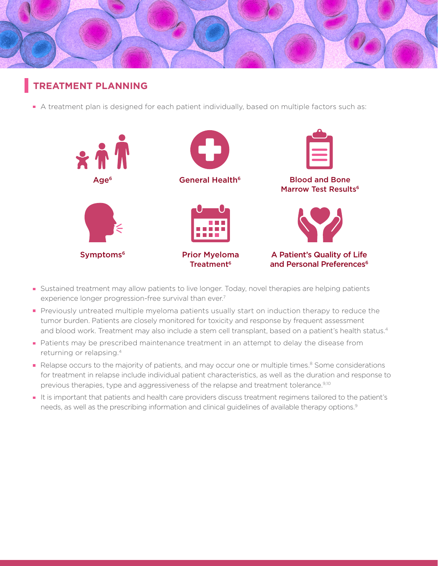

## **TREATMENT PLANNING**

• A treatment plan is designed for each patient individually, based on multiple factors such as:



- Sustained treatment may allow patients to live longer. Today, novel therapies are helping patients experience longer progression-free survival than ever.<sup>7</sup>
- **Previously untreated multiple myeloma patients usually start on induction therapy to reduce the** tumor burden. Patients are closely monitored for toxicity and response by frequent assessment and blood work. Treatment may also include a stem cell transplant, based on a patient's health status.<sup>4</sup>
- Patients may be prescribed maintenance treatment in an attempt to delay the disease from returning or relapsing.4
- Relapse occurs to the majority of patients, and may occur one or multiple times.<sup>8</sup> Some considerations for treatment in relapse include individual patient characteristics, as well as the duration and response to previous therapies, type and aggressiveness of the relapse and treatment tolerance.<sup>9,10</sup>
- It is important that patients and health care providers discuss treatment regimens tailored to the patient's needs, as well as the prescribing information and clinical guidelines of available therapy options.<sup>9</sup>